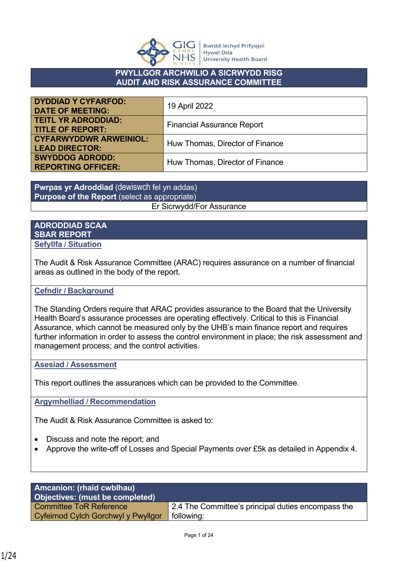

**Bwrdd lechyd Prifysgol Hywel Dda University Health Board** 

#### **PWYLLGOR ARCHWILIO A SICRWYDD RISG AUDIT AND RISK ASSURANCE COMMITTEE**

| <b>DYDDIAD Y CYFARFOD:</b><br><b>DATE OF MEETING:</b>  | 19 April 2022                     |
|--------------------------------------------------------|-----------------------------------|
| <b>TEITL YR ADRODDIAD:</b><br><b>TITLE OF REPORT:</b>  | <b>Financial Assurance Report</b> |
| <b>CYFARWYDDWR ARWEINIOL:</b><br><b>LEAD DIRECTOR:</b> | Huw Thomas, Director of Finance   |
| <b>SWYDDOG ADRODD:</b><br><b>REPORTING OFFICER:</b>    | Huw Thomas, Director of Finance   |

**Pwrpas yr Adroddiad** (dewiswch fel yn addas) **Purpose of the Report** (select as appropriate) Er Sicrwydd/For Assurance

#### **ADRODDIAD SCAA SBAR REPORT Sefyllfa / Situation**

The Audit & Risk Assurance Committee (ARAC) requires assurance on a number of financial areas as outlined in the body of the report.

## **Cefndir / Background**

The Standing Orders require that ARAC provides assurance to the Board that the University Health Board's assurance processes are operating effectively. Critical to this is Financial Assurance, which cannot be measured only by the UHB's main finance report and requires further information in order to assess the control environment in place; the risk assessment and management process; and the control activities.

#### **Asesiad / Assessment**

This report outlines the assurances which can be provided to the Committee.

**Argymhelliad / Recommendation**

The Audit & Risk Assurance Committee is asked to:

- Discuss and note the report; and
- Approve the write-off of Losses and Special Payments over £5k as detailed in Appendix 4.

| <b>Amcanion: (rhaid cwblhau)</b><br>Objectives: (must be completed) |                                                    |
|---------------------------------------------------------------------|----------------------------------------------------|
| <b>Committee ToR Reference</b>                                      | 2.4 The Committee's principal duties encompass the |
| Cyfeirnod Cylch Gorchwyl y Pwyllgor                                 | following:                                         |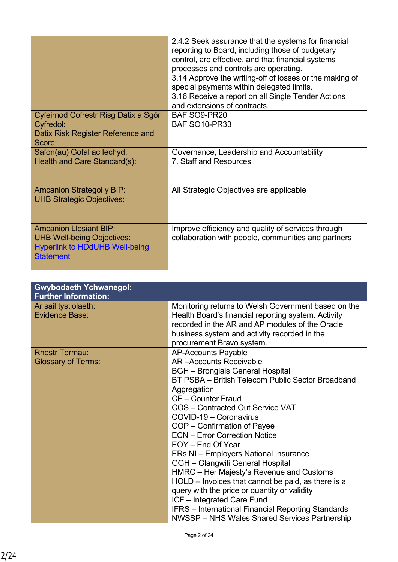|                                                                                                                                 | 2.4.2 Seek assurance that the systems for financial<br>reporting to Board, including those of budgetary<br>control, are effective, and that financial systems<br>processes and controls are operating.<br>3.14 Approve the writing-off of losses or the making of<br>special payments within delegated limits.<br>3.16 Receive a report on all Single Tender Actions<br>and extensions of contracts. |
|---------------------------------------------------------------------------------------------------------------------------------|------------------------------------------------------------------------------------------------------------------------------------------------------------------------------------------------------------------------------------------------------------------------------------------------------------------------------------------------------------------------------------------------------|
| Cyfeirnod Cofrestr Risg Datix a Sgôr<br>Cyfredol:                                                                               | BAF SO9-PR20<br><b>BAF SO10-PR33</b>                                                                                                                                                                                                                                                                                                                                                                 |
| Datix Risk Register Reference and<br>Score:                                                                                     |                                                                                                                                                                                                                                                                                                                                                                                                      |
| Safon(au) Gofal ac lechyd:<br>Health and Care Standard(s):                                                                      | Governance, Leadership and Accountability<br>7. Staff and Resources                                                                                                                                                                                                                                                                                                                                  |
| <b>Amcanion Strategol y BIP:</b><br><b>UHB Strategic Objectives:</b>                                                            | All Strategic Objectives are applicable                                                                                                                                                                                                                                                                                                                                                              |
| <b>Amcanion Llesiant BIP:</b><br><b>UHB Well-being Objectives:</b><br><b>Hyperlink to HDdUHB Well-being</b><br><b>Statement</b> | Improve efficiency and quality of services through<br>collaboration with people, communities and partners                                                                                                                                                                                                                                                                                            |

| <b>Gwybodaeth Ychwanegol:</b><br><b>Further Information:</b> |                                                                                                                                                                                                                                                                                                                                                                                                                                                                                                                                                                                                                                                                                                                                              |
|--------------------------------------------------------------|----------------------------------------------------------------------------------------------------------------------------------------------------------------------------------------------------------------------------------------------------------------------------------------------------------------------------------------------------------------------------------------------------------------------------------------------------------------------------------------------------------------------------------------------------------------------------------------------------------------------------------------------------------------------------------------------------------------------------------------------|
| Ar sail tystiolaeth:<br><b>Evidence Base:</b>                | Monitoring returns to Welsh Government based on the<br>Health Board's financial reporting system. Activity<br>recorded in the AR and AP modules of the Oracle<br>business system and activity recorded in the<br>procurement Bravo system.                                                                                                                                                                                                                                                                                                                                                                                                                                                                                                   |
| <b>Rhestr Termau:</b><br><b>Glossary of Terms:</b>           | <b>AP-Accounts Payable</b><br><b>AR-Accounts Receivable</b><br><b>BGH</b> – Bronglais General Hospital<br>BT PSBA - British Telecom Public Sector Broadband<br>Aggregation<br>CF - Counter Fraud<br>COS - Contracted Out Service VAT<br>COVID-19 - Coronavirus<br>COP - Confirmation of Payee<br><b>ECN - Error Correction Notice</b><br>EOY - End Of Year<br>ERs NI - Employers National Insurance<br>GGH - Glangwili General Hospital<br>HMRC - Her Majesty's Revenue and Customs<br>HOLD - Invoices that cannot be paid, as there is a<br>query with the price or quantity or validity<br>ICF - Integrated Care Fund<br><b>IFRS</b> - International Financial Reporting Standards<br><b>NWSSP</b> – NHS Wales Shared Services Partnership |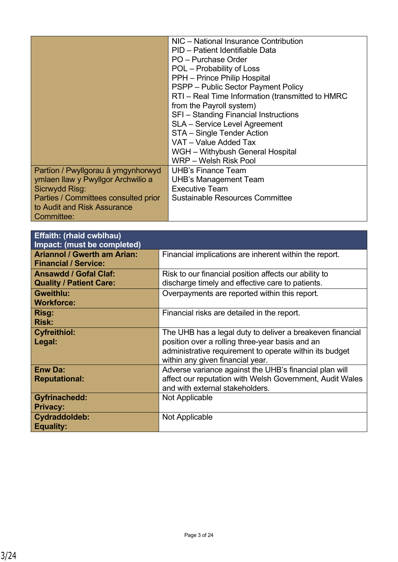|                                      | NIC - National Insurance Contribution            |
|--------------------------------------|--------------------------------------------------|
|                                      | PID - Patient Identifiable Data                  |
|                                      | PO - Purchase Order                              |
|                                      | POL – Probability of Loss                        |
|                                      | PPH - Prince Philip Hospital                     |
|                                      | PSPP – Public Sector Payment Policy              |
|                                      | RTI - Real Time Information (transmitted to HMRC |
|                                      | from the Payroll system)                         |
|                                      | SFI - Standing Financial Instructions            |
|                                      | <b>SLA</b> - Service Level Agreement             |
|                                      | STA - Single Tender Action                       |
|                                      | VAT - Value Added Tax                            |
|                                      | WGH - Withybush General Hospital                 |
|                                      | WRP - Welsh Risk Pool                            |
| Partïon / Pwyllgorau â ymgynhorwyd   | <b>UHB's Finance Team</b>                        |
| ymlaen llaw y Pwyllgor Archwilio a   | <b>UHB's Management Team</b>                     |
| Sicrwydd Risg:                       | <b>Executive Team</b>                            |
| Parties / Committees consulted prior | <b>Sustainable Resources Committee</b>           |
| to Audit and Risk Assurance          |                                                  |
| Committee:                           |                                                  |

| <b>Effaith: (rhaid cwblhau)</b><br>Impact: (must be completed)    |                                                                                                                                                                                                             |
|-------------------------------------------------------------------|-------------------------------------------------------------------------------------------------------------------------------------------------------------------------------------------------------------|
| <b>Ariannol / Gwerth am Arian:</b><br><b>Financial / Service:</b> | Financial implications are inherent within the report.                                                                                                                                                      |
| <b>Ansawdd / Gofal Claf:</b><br><b>Quality / Patient Care:</b>    | Risk to our financial position affects our ability to<br>discharge timely and effective care to patients.                                                                                                   |
| <b>Gweithlu:</b><br><b>Workforce:</b>                             | Overpayments are reported within this report.                                                                                                                                                               |
| <b>Risg:</b><br><b>Risk:</b>                                      | Financial risks are detailed in the report.                                                                                                                                                                 |
| <b>Cyfreithiol:</b><br>Legal:                                     | The UHB has a legal duty to deliver a breakeven financial<br>position over a rolling three-year basis and an<br>administrative requirement to operate within its budget<br>within any given financial year. |
| <b>Enw Da:</b><br><b>Reputational:</b>                            | Adverse variance against the UHB's financial plan will<br>affect our reputation with Welsh Government, Audit Wales<br>and with external stakeholders.                                                       |
| <b>Gyfrinachedd:</b><br><b>Privacy:</b>                           | Not Applicable                                                                                                                                                                                              |
| Cydraddoldeb:<br><b>Equality:</b>                                 | Not Applicable                                                                                                                                                                                              |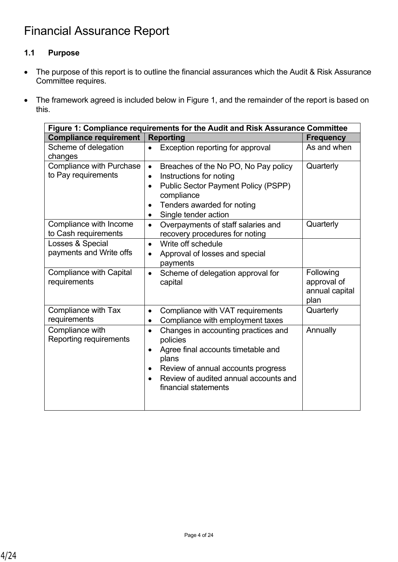# **1.1 Purpose**

- The purpose of this report is to outline the financial assurances which the Audit & Risk Assurance Committee requires.
- The framework agreed is included below in Figure 1, and the remainder of the report is based on this.

| Figure 1: Compliance requirements for the Audit and Risk Assurance Committee |                                                                                                                                                                                                                                       |                                                    |  |  |  |  |
|------------------------------------------------------------------------------|---------------------------------------------------------------------------------------------------------------------------------------------------------------------------------------------------------------------------------------|----------------------------------------------------|--|--|--|--|
| <b>Compliance requirement</b>                                                | <b>Reporting</b>                                                                                                                                                                                                                      | <b>Frequency</b>                                   |  |  |  |  |
| Scheme of delegation<br>changes                                              | Exception reporting for approval<br>$\bullet$                                                                                                                                                                                         | As and when                                        |  |  |  |  |
| <b>Compliance with Purchase</b><br>to Pay requirements                       | Breaches of the No PO, No Pay policy<br>$\bullet$<br>Instructions for noting<br>$\bullet$<br><b>Public Sector Payment Policy (PSPP)</b><br>$\bullet$<br>compliance<br>Tenders awarded for noting<br>Single tender action<br>$\bullet$ | Quarterly                                          |  |  |  |  |
| Compliance with Income<br>to Cash requirements                               | Overpayments of staff salaries and<br>$\bullet$<br>recovery procedures for noting                                                                                                                                                     | Quarterly                                          |  |  |  |  |
| Losses & Special<br>payments and Write offs                                  | Write off schedule<br>$\bullet$<br>Approval of losses and special<br>$\bullet$<br>payments                                                                                                                                            |                                                    |  |  |  |  |
| <b>Compliance with Capital</b><br>requirements                               | Scheme of delegation approval for<br>$\bullet$<br>capital                                                                                                                                                                             | Following<br>approval of<br>annual capital<br>plan |  |  |  |  |
| Compliance with Tax<br>requirements                                          | Compliance with VAT requirements<br>$\bullet$<br>Compliance with employment taxes<br>$\bullet$                                                                                                                                        | Quarterly                                          |  |  |  |  |
| Compliance with<br>Reporting requirements                                    | Changes in accounting practices and<br>$\bullet$<br>policies<br>Agree final accounts timetable and<br>$\bullet$<br>plans<br>Review of annual accounts progress<br>Review of audited annual accounts and<br>financial statements       | Annually                                           |  |  |  |  |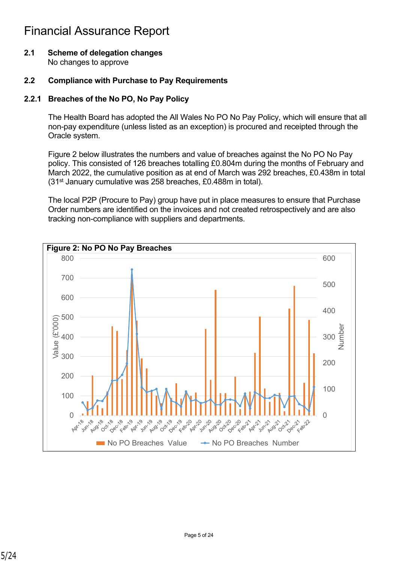**2.1 Scheme of delegation changes** No changes to approve

#### **2.2 Compliance with Purchase to Pay Requirements**

#### **2.2.1 Breaches of the No PO, No Pay Policy**

The Health Board has adopted the All Wales No PO No Pay Policy, which will ensure that all non-pay expenditure (unless listed as an exception) is procured and receipted through the Oracle system.

Figure 2 below illustrates the numbers and value of breaches against the No PO No Pay policy. This consisted of 126 breaches totalling £0.804m during the months of February and March 2022, the cumulative position as at end of March was 292 breaches, £0.438m in total (31st January cumulative was 258 breaches, £0.488m in total).

The local P2P (Procure to Pay) group have put in place measures to ensure that Purchase Order numbers are identified on the invoices and not created retrospectively and are also tracking non-compliance with suppliers and departments.

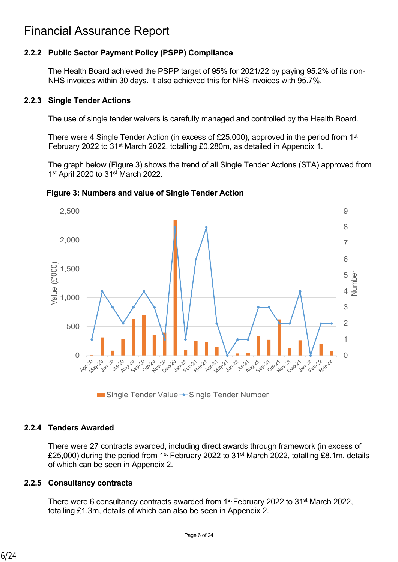## **2.2.2 Public Sector Payment Policy (PSPP) Compliance**

The Health Board achieved the PSPP target of 95% for 2021/22 by paying 95.2% of its non-NHS invoices within 30 days. It also achieved this for NHS invoices with 95.7%.

#### **2.2.3 Single Tender Actions**

The use of single tender waivers is carefully managed and controlled by the Health Board.

There were 4 Single Tender Action (in excess of £25,000), approved in the period from 1<sup>st</sup> February 2022 to 31st March 2022, totalling £0.280m, as detailed in Appendix 1.

The graph below (Figure 3) shows the trend of all Single Tender Actions (STA) approved from 1<sup>st</sup> April 2020 to 31<sup>st</sup> March 2022.



## **2.2.4 Tenders Awarded**

There were 27 contracts awarded, including direct awards through framework (in excess of £25,000) during the period from 1<sup>st</sup> February 2022 to 31<sup>st</sup> March 2022, totalling £8.1m, details of which can be seen in Appendix 2.

## **2.2.5 Consultancy contracts**

There were 6 consultancy contracts awarded from 1<sup>st</sup> February 2022 to 31<sup>st</sup> March 2022, totalling £1.3m, details of which can also be seen in Appendix 2.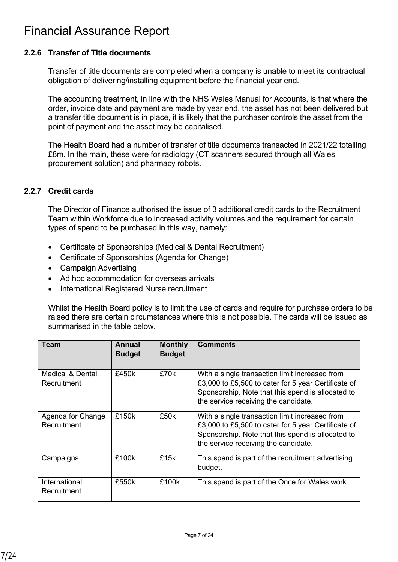## **2.2.6 Transfer of Title documents**

Transfer of title documents are completed when a company is unable to meet its contractual obligation of delivering/installing equipment before the financial year end.

The accounting treatment, in line with the NHS Wales Manual for Accounts, is that where the order, invoice date and payment are made by year end, the asset has not been delivered but a transfer title document is in place, it is likely that the purchaser controls the asset from the point of payment and the asset may be capitalised.

The Health Board had a number of transfer of title documents transacted in 2021/22 totalling £8m. In the main, these were for radiology (CT scanners secured through all Wales procurement solution) and pharmacy robots.

## **2.2.7 Credit cards**

The Director of Finance authorised the issue of 3 additional credit cards to the Recruitment Team within Workforce due to increased activity volumes and the requirement for certain types of spend to be purchased in this way, namely:

- Certificate of Sponsorships (Medical & Dental Recruitment)
- Certificate of Sponsorships (Agenda for Change)
- Campaign Advertising
- Ad hoc accommodation for overseas arrivals
- International Registered Nurse recruitment

Whilst the Health Board policy is to limit the use of cards and require for purchase orders to be raised there are certain circumstances where this is not possible. The cards will be issued as summarised in the table below.

| Team                             | Annual<br><b>Budget</b> | <b>Monthly</b><br><b>Budget</b> | <b>Comments</b>                                                                                                                                                                                    |
|----------------------------------|-------------------------|---------------------------------|----------------------------------------------------------------------------------------------------------------------------------------------------------------------------------------------------|
| Medical & Dental<br>Recruitment  | £450k                   | £70k                            | With a single transaction limit increased from<br>£3,000 to £5,500 to cater for 5 year Certificate of<br>Sponsorship. Note that this spend is allocated to<br>the service receiving the candidate. |
| Agenda for Change<br>Recruitment | £150k                   | £50k                            | With a single transaction limit increased from<br>£3,000 to £5,500 to cater for 5 year Certificate of<br>Sponsorship. Note that this spend is allocated to<br>the service receiving the candidate. |
| Campaigns                        | £100k                   | £15k                            | This spend is part of the recruitment advertising<br>budget.                                                                                                                                       |
| International<br>Recruitment     | £550k                   | £100k                           | This spend is part of the Once for Wales work.                                                                                                                                                     |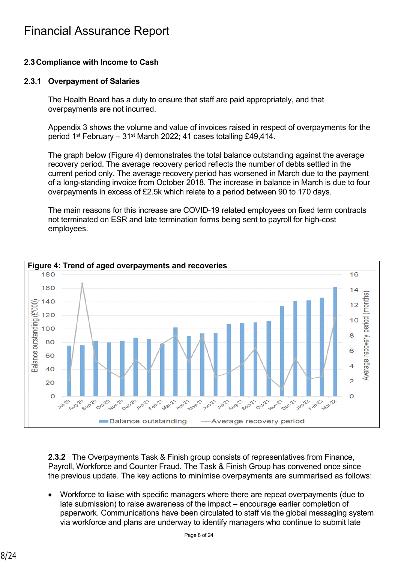## **2.3Compliance with Income to Cash**

#### **2.3.1 Overpayment of Salaries**

The Health Board has a duty to ensure that staff are paid appropriately, and that overpayments are not incurred.

Appendix 3 shows the volume and value of invoices raised in respect of overpayments for the period 1st February – 31st March 2022; 41 cases totalling £49,414.

The graph below (Figure 4) demonstrates the total balance outstanding against the average recovery period. The average recovery period reflects the number of debts settled in the current period only. The average recovery period has worsened in March due to the payment of a long-standing invoice from October 2018. The increase in balance in March is due to four overpayments in excess of £2.5k which relate to a period between 90 to 170 days.

The main reasons for this increase are COVID-19 related employees on fixed term contracts not terminated on ESR and late termination forms being sent to payroll for high-cost employees.



**2.3.2** The Overpayments Task & Finish group consists of representatives from Finance, Payroll, Workforce and Counter Fraud. The Task & Finish Group has convened once since the previous update. The key actions to minimise overpayments are summarised as follows:

• Workforce to liaise with specific managers where there are repeat overpayments (due to late submission) to raise awareness of the impact – encourage earlier completion of paperwork. Communications have been circulated to staff via the global messaging system via workforce and plans are underway to identify managers who continue to submit late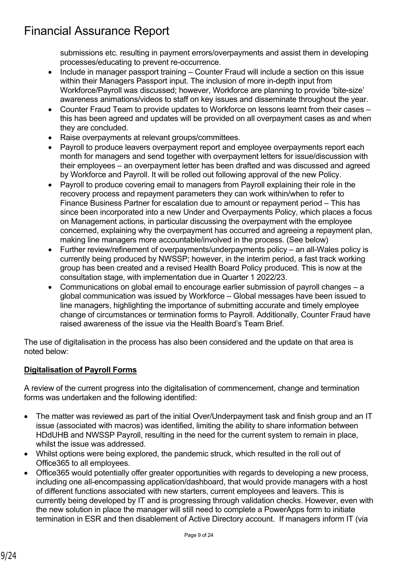submissions etc. resulting in payment errors/overpayments and assist them in developing processes/educating to prevent re-occurrence.

- Include in manager passport training Counter Fraud will include a section on this issue within their Managers Passport input. The inclusion of more in-depth input from Workforce/Payroll was discussed; however, Workforce are planning to provide 'bite-size' awareness animations/videos to staff on key issues and disseminate throughout the year.
- Counter Fraud Team to provide updates to Workforce on lessons learnt from their cases this has been agreed and updates will be provided on all overpayment cases as and when they are concluded.
- Raise overpayments at relevant groups/committees.
- Payroll to produce leavers overpayment report and employee overpayments report each month for managers and send together with overpayment letters for issue/discussion with their employees – an overpayment letter has been drafted and was discussed and agreed by Workforce and Payroll. It will be rolled out following approval of the new Policy.
- Payroll to produce covering email to managers from Payroll explaining their role in the recovery process and repayment parameters they can work within/when to refer to Finance Business Partner for escalation due to amount or repayment period – This has since been incorporated into a new Under and Overpayments Policy, which places a focus on Management actions, in particular discussing the overpayment with the employee concerned, explaining why the overpayment has occurred and agreeing a repayment plan, making line managers more accountable/involved in the process. (See below)
- Further review/refinement of overpayments/underpayments policy an all-Wales policy is currently being produced by NWSSP; however, in the interim period, a fast track working group has been created and a revised Health Board Policy produced. This is now at the consultation stage, with implementation due in Quarter 1 2022/23.
- Communications on global email to encourage earlier submission of payroll changes a global communication was issued by Workforce – Global messages have been issued to line managers, highlighting the importance of submitting accurate and timely employee change of circumstances or termination forms to Payroll. Additionally, Counter Fraud have raised awareness of the issue via the Health Board's Team Brief.

The use of digitalisation in the process has also been considered and the update on that area is noted below:

## **Digitalisation of Payroll Forms**

A review of the current progress into the digitalisation of commencement, change and termination forms was undertaken and the following identified:

- The matter was reviewed as part of the initial Over/Underpayment task and finish group and an IT issue (associated with macros) was identified, limiting the ability to share information between HDdUHB and NWSSP Payroll, resulting in the need for the current system to remain in place, whilst the issue was addressed.
- Whilst options were being explored, the pandemic struck, which resulted in the roll out of Office365 to all employees.
- Office365 would potentially offer greater opportunities with regards to developing a new process, including one all-encompassing application/dashboard, that would provide managers with a host of different functions associated with new starters, current employees and leavers. This is currently being developed by IT and is progressing through validation checks. However, even with the new solution in place the manager will still need to complete a PowerApps form to initiate termination in ESR and then disablement of Active Directory account. If managers inform IT (via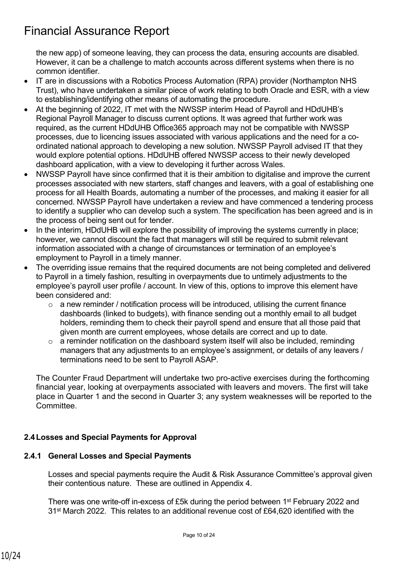the new app) of someone leaving, they can process the data, ensuring accounts are disabled. However, it can be a challenge to match accounts across different systems when there is no common identifier.

- IT are in discussions with a Robotics Process Automation (RPA) provider (Northampton NHS Trust), who have undertaken a similar piece of work relating to both Oracle and ESR, with a view to establishing/identifying other means of automating the procedure.
- At the beginning of 2022, IT met with the NWSSP interim Head of Payroll and HDdUHB's Regional Payroll Manager to discuss current options. It was agreed that further work was required, as the current HDdUHB Office365 approach may not be compatible with NWSSP processes, due to licencing issues associated with various applications and the need for a coordinated national approach to developing a new solution. NWSSP Payroll advised IT that they would explore potential options. HDdUHB offered NWSSP access to their newly developed dashboard application, with a view to developing it further across Wales.
- NWSSP Payroll have since confirmed that it is their ambition to digitalise and improve the current processes associated with new starters, staff changes and leavers, with a goal of establishing one process for all Health Boards, automating a number of the processes, and making it easier for all concerned. NWSSP Payroll have undertaken a review and have commenced a tendering process to identify a supplier who can develop such a system. The specification has been agreed and is in the process of being sent out for tender.
- In the interim, HDdUHB will explore the possibility of improving the systems currently in place: however, we cannot discount the fact that managers will still be required to submit relevant information associated with a change of circumstances or termination of an employee's employment to Payroll in a timely manner.
- The overriding issue remains that the required documents are not being completed and delivered to Payroll in a timely fashion, resulting in overpayments due to untimely adjustments to the employee's payroll user profile / account. In view of this, options to improve this element have been considered and:
	- $\circ$  a new reminder / notification process will be introduced, utilising the current finance dashboards (linked to budgets), with finance sending out a monthly email to all budget holders, reminding them to check their payroll spend and ensure that all those paid that given month are current employees, whose details are correct and up to date.
	- $\circ$  a reminder notification on the dashboard system itself will also be included, reminding managers that any adjustments to an employee's assignment, or details of any leavers / terminations need to be sent to Payroll ASAP.

The Counter Fraud Department will undertake two pro-active exercises during the forthcoming financial year, looking at overpayments associated with leavers and movers. The first will take place in Quarter 1 and the second in Quarter 3; any system weaknesses will be reported to the Committee.

## **2.4Losses and Special Payments for Approval**

## **2.4.1 General Losses and Special Payments**

Losses and special payments require the Audit & Risk Assurance Committee's approval given their contentious nature. These are outlined in Appendix 4.

There was one write-off in-excess of £5k during the period between 1st February 2022 and 31st March 2022. This relates to an additional revenue cost of £64,620 identified with the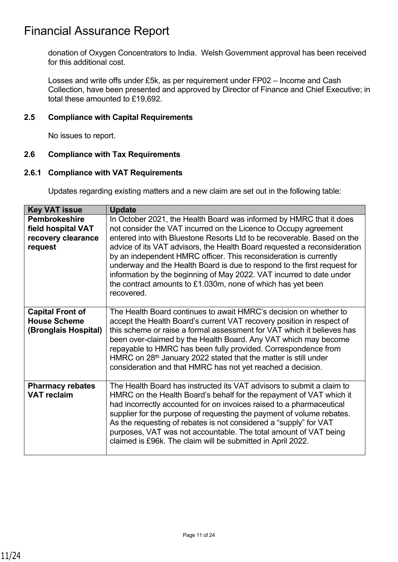donation of Oxygen Concentrators to India. Welsh Government approval has been received for this additional cost.

Losses and write offs under £5k, as per requirement under FP02 – Income and Cash Collection, have been presented and approved by Director of Finance and Chief Executive; in total these amounted to £19,692.

#### **2.5 Compliance with Capital Requirements**

No issues to report.

## **2.6 Compliance with Tax Requirements**

#### **2.6.1 Compliance with VAT Requirements**

Updates regarding existing matters and a new claim are set out in the following table:

| <b>Key VAT issue</b>                                                        | <b>Update</b>                                                                                                                                                                                                                                                                                                                                                                                                                                                                                                                                                                                           |
|-----------------------------------------------------------------------------|---------------------------------------------------------------------------------------------------------------------------------------------------------------------------------------------------------------------------------------------------------------------------------------------------------------------------------------------------------------------------------------------------------------------------------------------------------------------------------------------------------------------------------------------------------------------------------------------------------|
| <b>Pembrokeshire</b><br>field hospital VAT<br>recovery clearance<br>request | In October 2021, the Health Board was informed by HMRC that it does<br>not consider the VAT incurred on the Licence to Occupy agreement<br>entered into with Bluestone Resorts Ltd to be recoverable. Based on the<br>advice of its VAT advisors, the Health Board requested a reconsideration<br>by an independent HMRC officer. This reconsideration is currently<br>underway and the Health Board is due to respond to the first request for<br>information by the beginning of May 2022. VAT incurred to date under<br>the contract amounts to $£1.030m$ , none of which has yet been<br>recovered. |
| <b>Capital Front of</b><br><b>House Scheme</b><br>(Bronglais Hospital)      | The Health Board continues to await HMRC's decision on whether to<br>accept the Health Board's current VAT recovery position in respect of<br>this scheme or raise a formal assessment for VAT which it believes has<br>been over-claimed by the Health Board. Any VAT which may become<br>repayable to HMRC has been fully provided. Correspondence from<br>HMRC on 28 <sup>th</sup> January 2022 stated that the matter is still under<br>consideration and that HMRC has not yet reached a decision.                                                                                                 |
| <b>Pharmacy rebates</b><br><b>VAT reclaim</b>                               | The Health Board has instructed its VAT advisors to submit a claim to<br>HMRC on the Health Board's behalf for the repayment of VAT which it<br>had incorrectly accounted for on invoices raised to a pharmaceutical<br>supplier for the purpose of requesting the payment of volume rebates.<br>As the requesting of rebates is not considered a "supply" for VAT<br>purposes, VAT was not accountable. The total amount of VAT being<br>claimed is £96k. The claim will be submitted in April 2022.                                                                                                   |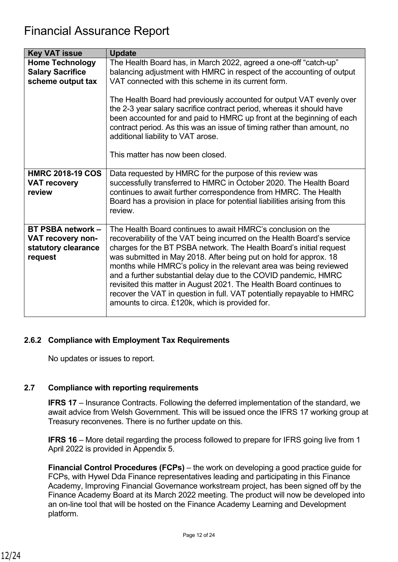| <b>Key VAT issue</b>                                                            | <b>Update</b>                                                                                                                                                                                                                                                                                                                                                                                                                                                                                                                                                                                                                   |
|---------------------------------------------------------------------------------|---------------------------------------------------------------------------------------------------------------------------------------------------------------------------------------------------------------------------------------------------------------------------------------------------------------------------------------------------------------------------------------------------------------------------------------------------------------------------------------------------------------------------------------------------------------------------------------------------------------------------------|
| <b>Home Technology</b><br><b>Salary Sacrifice</b><br>scheme output tax          | The Health Board has, in March 2022, agreed a one-off "catch-up"<br>balancing adjustment with HMRC in respect of the accounting of output<br>VAT connected with this scheme in its current form.                                                                                                                                                                                                                                                                                                                                                                                                                                |
|                                                                                 | The Health Board had previously accounted for output VAT evenly over<br>the 2-3 year salary sacrifice contract period, whereas it should have<br>been accounted for and paid to HMRC up front at the beginning of each<br>contract period. As this was an issue of timing rather than amount, no<br>additional liability to VAT arose.                                                                                                                                                                                                                                                                                          |
|                                                                                 | This matter has now been closed.                                                                                                                                                                                                                                                                                                                                                                                                                                                                                                                                                                                                |
| <b>HMRC 2018-19 COS</b><br><b>VAT recovery</b><br>review                        | Data requested by HMRC for the purpose of this review was<br>successfully transferred to HMRC in October 2020. The Health Board<br>continues to await further correspondence from HMRC. The Health<br>Board has a provision in place for potential liabilities arising from this<br>review.                                                                                                                                                                                                                                                                                                                                     |
| <b>BT PSBA network -</b><br>VAT recovery non-<br>statutory clearance<br>request | The Health Board continues to await HMRC's conclusion on the<br>recoverability of the VAT being incurred on the Health Board's service<br>charges for the BT PSBA network. The Health Board's initial request<br>was submitted in May 2018. After being put on hold for approx. 18<br>months while HMRC's policy in the relevant area was being reviewed<br>and a further substantial delay due to the COVID pandemic, HMRC<br>revisited this matter in August 2021. The Health Board continues to<br>recover the VAT in question in full. VAT potentially repayable to HMRC<br>amounts to circa. £120k, which is provided for. |

## **2.6.2 Compliance with Employment Tax Requirements**

No updates or issues to report.

## **2.7 Compliance with reporting requirements**

**IFRS 17** – Insurance Contracts. Following the deferred implementation of the standard, we await advice from Welsh Government. This will be issued once the IFRS 17 working group at Treasury reconvenes. There is no further update on this.

**IFRS 16** – More detail regarding the process followed to prepare for IFRS going live from 1 April 2022 is provided in Appendix 5.

**Financial Control Procedures (FCPs)** – the work on developing a good practice guide for FCPs, with Hywel Dda Finance representatives leading and participating in this Finance Academy, Improving Financial Governance workstream project, has been signed off by the Finance Academy Board at its March 2022 meeting. The product will now be developed into an on-line tool that will be hosted on the Finance Academy Learning and Development platform.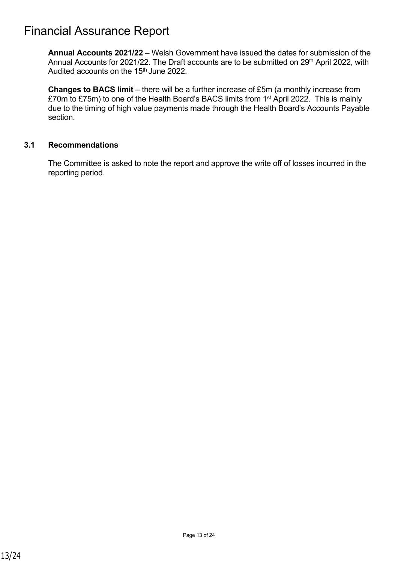**Annual Accounts 2021/22** – Welsh Government have issued the dates for submission of the Annual Accounts for 2021/22. The Draft accounts are to be submitted on 29th April 2022, with Audited accounts on the 15<sup>th</sup> June 2022.

**Changes to BACS limit** – there will be a further increase of £5m (a monthly increase from £70m to £75m) to one of the Health Board's BACS limits from 1st April 2022. This is mainly due to the timing of high value payments made through the Health Board's Accounts Payable section.

#### **3.1 Recommendations**

The Committee is asked to note the report and approve the write off of losses incurred in the reporting period.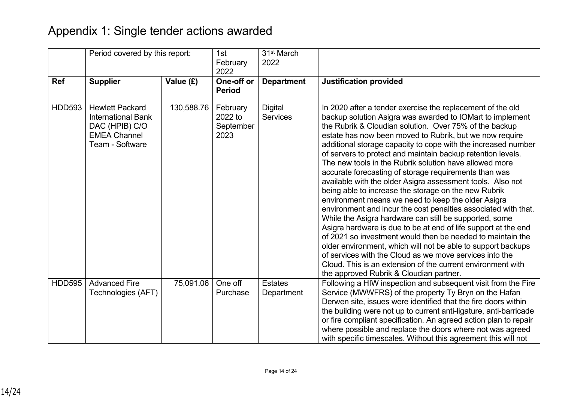# Appendix 1: Single tender actions awarded

|               | Period covered by this report:                                                                                  |            | 1st<br>February<br>2022                  | 31 <sup>st</sup> March<br>2022    |                                                                                                                                                                                                                                                                                                                                                                                                                                                                                                                                                                                                                                                                                                                                                                                                                                                                                                                                                                                                                                                                                                                                                                              |
|---------------|-----------------------------------------------------------------------------------------------------------------|------------|------------------------------------------|-----------------------------------|------------------------------------------------------------------------------------------------------------------------------------------------------------------------------------------------------------------------------------------------------------------------------------------------------------------------------------------------------------------------------------------------------------------------------------------------------------------------------------------------------------------------------------------------------------------------------------------------------------------------------------------------------------------------------------------------------------------------------------------------------------------------------------------------------------------------------------------------------------------------------------------------------------------------------------------------------------------------------------------------------------------------------------------------------------------------------------------------------------------------------------------------------------------------------|
| <b>Ref</b>    | <b>Supplier</b>                                                                                                 | Value (£)  | One-off or<br><b>Period</b>              | <b>Department</b>                 | <b>Justification provided</b>                                                                                                                                                                                                                                                                                                                                                                                                                                                                                                                                                                                                                                                                                                                                                                                                                                                                                                                                                                                                                                                                                                                                                |
| <b>HDD593</b> | <b>Hewlett Packard</b><br><b>International Bank</b><br>DAC (HPIB) C/O<br><b>EMEA Channel</b><br>Team - Software | 130,588.76 | February<br>2022 to<br>September<br>2023 | <b>Digital</b><br><b>Services</b> | In 2020 after a tender exercise the replacement of the old<br>backup solution Asigra was awarded to IOMart to implement<br>the Rubrik & Cloudian solution. Over 75% of the backup<br>estate has now been moved to Rubrik, but we now require<br>additional storage capacity to cope with the increased number<br>of servers to protect and maintain backup retention levels.<br>The new tools in the Rubrik solution have allowed more<br>accurate forecasting of storage requirements than was<br>available with the older Asigra assessment tools. Also not<br>being able to increase the storage on the new Rubrik<br>environment means we need to keep the older Asigra<br>environment and incur the cost penalties associated with that.<br>While the Asigra hardware can still be supported, some<br>Asigra hardware is due to be at end of life support at the end<br>of 2021 so investment would then be needed to maintain the<br>older environment, which will not be able to support backups<br>of services with the Cloud as we move services into the<br>Cloud. This is an extension of the current environment with<br>the approved Rubrik & Cloudian partner. |
| <b>HDD595</b> | <b>Advanced Fire</b><br>Technologies (AFT)                                                                      | 75,091.06  | One off<br>Purchase                      | <b>Estates</b><br>Department      | Following a HIW inspection and subsequent visit from the Fire<br>Service (MWWFRS) of the property Ty Bryn on the Hafan<br>Derwen site, issues were identified that the fire doors within<br>the building were not up to current anti-ligature, anti-barricade<br>or fire compliant specification. An agreed action plan to repair<br>where possible and replace the doors where not was agreed<br>with specific timescales. Without this agreement this will not                                                                                                                                                                                                                                                                                                                                                                                                                                                                                                                                                                                                                                                                                                             |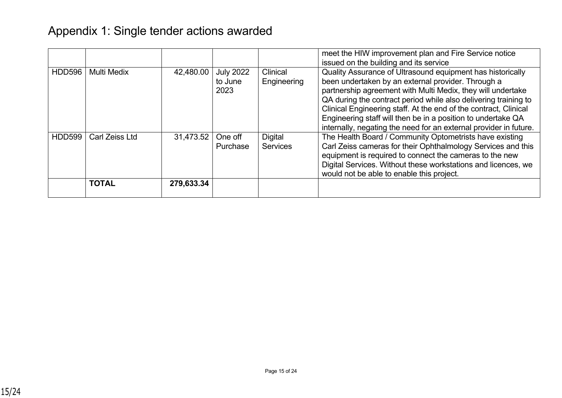|               |                    |            |                  |                 | meet the HIW improvement plan and Fire Service notice             |
|---------------|--------------------|------------|------------------|-----------------|-------------------------------------------------------------------|
|               |                    |            |                  |                 | issued on the building and its service                            |
| <b>HDD596</b> | <b>Multi Medix</b> | 42,480.00  | <b>July 2022</b> | Clinical        | Quality Assurance of Ultrasound equipment has historically        |
|               |                    |            | to June          | Engineering     | been undertaken by an external provider. Through a                |
|               |                    |            | 2023             |                 | partnership agreement with Multi Medix, they will undertake       |
|               |                    |            |                  |                 | QA during the contract period while also delivering training to   |
|               |                    |            |                  |                 | Clinical Engineering staff. At the end of the contract, Clinical  |
|               |                    |            |                  |                 | Engineering staff will then be in a position to undertake QA      |
|               |                    |            |                  |                 | internally, negating the need for an external provider in future. |
| <b>HDD599</b> | Carl Zeiss Ltd     | 31,473.52  | One off          | <b>Digital</b>  | The Health Board / Community Optometrists have existing           |
|               |                    |            | Purchase         | <b>Services</b> | Carl Zeiss cameras for their Ophthalmology Services and this      |
|               |                    |            |                  |                 | equipment is required to connect the cameras to the new           |
|               |                    |            |                  |                 | Digital Services. Without these workstations and licences, we     |
|               |                    |            |                  |                 | would not be able to enable this project.                         |
|               | <b>TOTAL</b>       | 279,633.34 |                  |                 |                                                                   |
|               |                    |            |                  |                 |                                                                   |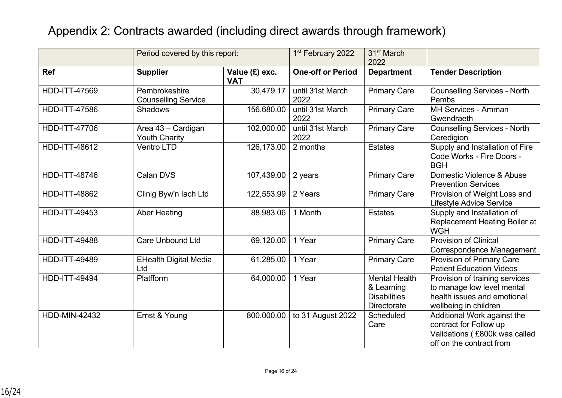|                      | Period covered by this report:              |                              | 1 <sup>st</sup> February 2022 | 31 <sup>st</sup> March<br>2022                                                  |                                                                                                                      |
|----------------------|---------------------------------------------|------------------------------|-------------------------------|---------------------------------------------------------------------------------|----------------------------------------------------------------------------------------------------------------------|
| Ref                  | <b>Supplier</b>                             | Value (£) exc.<br><b>VAT</b> | <b>One-off or Period</b>      | <b>Department</b>                                                               | <b>Tender Description</b>                                                                                            |
| <b>HDD-ITT-47569</b> | Pembrokeshire<br><b>Counselling Service</b> | 30,479.17                    | until 31st March<br>2022      | <b>Primary Care</b>                                                             | <b>Counselling Services - North</b><br>Pembs                                                                         |
| <b>HDD-ITT-47586</b> | <b>Shadows</b>                              | 156,680.00                   | until 31st March<br>2022      | <b>Primary Care</b>                                                             | <b>MH Services - Amman</b><br>Gwendraeth                                                                             |
| <b>HDD-ITT-47706</b> | Area 43 - Cardigan<br><b>Youth Charity</b>  | 102,000.00                   | until 31st March<br>2022      | <b>Primary Care</b>                                                             | <b>Counselling Services - North</b><br>Ceredigion                                                                    |
| HDD-ITT-48612        | <b>Ventro LTD</b>                           | 126,173.00                   | 2 months                      | <b>Estates</b>                                                                  | Supply and Installation of Fire<br>Code Works - Fire Doors -<br><b>BGH</b>                                           |
| <b>HDD-ITT-48746</b> | <b>Calan DVS</b>                            | 107,439.00                   | 2 years                       | <b>Primary Care</b>                                                             | Domestic Violence & Abuse<br><b>Prevention Services</b>                                                              |
| <b>HDD-ITT-48862</b> | Clinig Byw'n lach Ltd                       | 122,553.99                   | 2 Years                       | <b>Primary Care</b>                                                             | Provision of Weight Loss and<br><b>Lifestyle Advice Service</b>                                                      |
| <b>HDD-ITT-49453</b> | <b>Aber Heating</b>                         | 88,983.06                    | 1 Month                       | <b>Estates</b>                                                                  | Supply and Installation of<br>Replacement Heating Boiler at<br><b>WGH</b>                                            |
| <b>HDD-ITT-49488</b> | <b>Care Unbound Ltd</b>                     | 69,120.00                    | 1 Year                        | <b>Primary Care</b>                                                             | <b>Provision of Clinical</b><br>Correspondence Management                                                            |
| <b>HDD-ITT-49489</b> | <b>EHealth Digital Media</b><br>Ltd         | 61,285.00                    | 1 Year                        | <b>Primary Care</b>                                                             | Provision of Primary Care<br><b>Patient Education Videos</b>                                                         |
| <b>HDD-ITT-49494</b> | Platfform                                   | 64,000.00                    | 1 Year                        | <b>Mental Health</b><br>& Learning<br><b>Disabilities</b><br><b>Directorate</b> | Provision of training services<br>to manage low level mental<br>health issues and emotional<br>wellbeing in children |
| <b>HDD-MIN-42432</b> | Ernst & Young                               | 800,000.00                   | to 31 August 2022             | Scheduled<br>Care                                                               | Additional Work against the<br>contract for Follow up<br>Validations (£800k was called<br>off on the contract from   |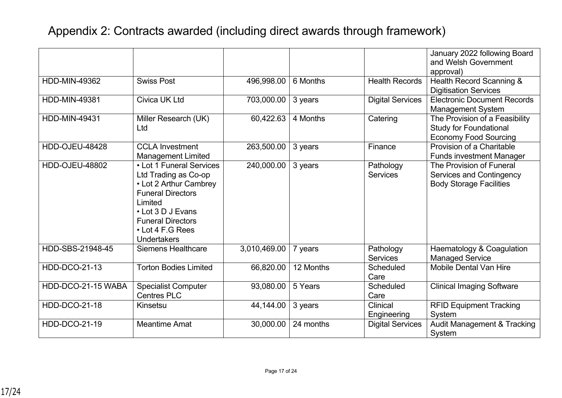|                       |                                                                                                                                                                                                              |              |           |                              | January 2022 following Board<br>and Welsh Government                                            |
|-----------------------|--------------------------------------------------------------------------------------------------------------------------------------------------------------------------------------------------------------|--------------|-----------|------------------------------|-------------------------------------------------------------------------------------------------|
| <b>HDD-MIN-49362</b>  | <b>Swiss Post</b>                                                                                                                                                                                            | 496,998.00   | 6 Months  | <b>Health Records</b>        | approval)<br>Health Record Scanning &                                                           |
|                       |                                                                                                                                                                                                              |              |           |                              | <b>Digitisation Services</b>                                                                    |
| <b>HDD-MIN-49381</b>  | <b>Civica UK Ltd</b>                                                                                                                                                                                         | 703,000.00   | 3 years   | <b>Digital Services</b>      | <b>Electronic Document Records</b><br><b>Management System</b>                                  |
| <b>HDD-MIN-49431</b>  | Miller Research (UK)<br>Ltd                                                                                                                                                                                  | 60,422.63    | 4 Months  | Catering                     | The Provision of a Feasibility<br><b>Study for Foundational</b><br><b>Economy Food Sourcing</b> |
| <b>HDD-OJEU-48428</b> | <b>CCLA Investment</b><br><b>Management Limited</b>                                                                                                                                                          | 263,500.00   | 3 years   | Finance                      | Provision of a Charitable<br><b>Funds investment Manager</b>                                    |
| <b>HDD-OJEU-48802</b> | • Lot 1 Funeral Services<br>Ltd Trading as Co-op<br>• Lot 2 Arthur Cambrey<br><b>Funeral Directors</b><br>Limited<br>• Lot 3 D J Evans<br><b>Funeral Directors</b><br>• Lot 4 F.G Rees<br><b>Undertakers</b> | 240,000.00   | 3 years   | Pathology<br><b>Services</b> | The Provision of Funeral<br>Services and Contingency<br><b>Body Storage Facilities</b>          |
| HDD-SBS-21948-45      | <b>Siemens Healthcare</b>                                                                                                                                                                                    | 3,010,469.00 | 7 years   | Pathology<br><b>Services</b> | Haematology & Coagulation<br><b>Managed Service</b>                                             |
| <b>HDD-DCO-21-13</b>  | <b>Torton Bodies Limited</b>                                                                                                                                                                                 | 66,820.00    | 12 Months | Scheduled<br>Care            | <b>Mobile Dental Van Hire</b>                                                                   |
| HDD-DCO-21-15 WABA    | <b>Specialist Computer</b><br><b>Centres PLC</b>                                                                                                                                                             | 93,080.00    | 5 Years   | Scheduled<br>Care            | <b>Clinical Imaging Software</b>                                                                |
| <b>HDD-DCO-21-18</b>  | Kinsetsu                                                                                                                                                                                                     | 44,144.00    | 3 years   | Clinical<br>Engineering      | <b>RFID Equipment Tracking</b><br>System                                                        |
| <b>HDD-DCO-21-19</b>  | <b>Meantime Amat</b>                                                                                                                                                                                         | 30,000.00    | 24 months | <b>Digital Services</b>      | <b>Audit Management &amp; Tracking</b><br>System                                                |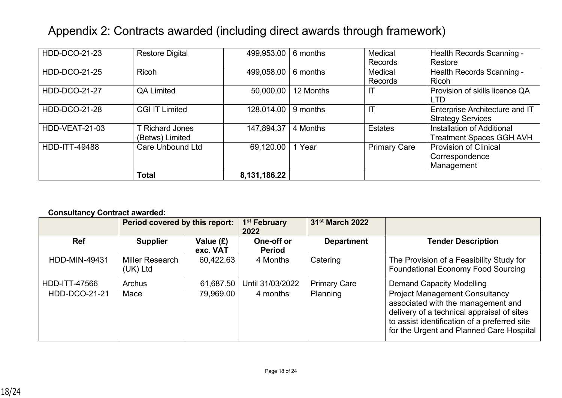| <b>HDD-DCO-21-23</b> | <b>Restore Digital</b>  | 499,953.00   | 6 months  | Medical             | Health Records Scanning -       |
|----------------------|-------------------------|--------------|-----------|---------------------|---------------------------------|
|                      |                         |              |           | Records             | Restore                         |
| <b>HDD-DCO-21-25</b> | <b>Ricoh</b>            | 499,058.00   | 6 months  | Medical             | Health Records Scanning -       |
|                      |                         |              |           | Records             | <b>Ricoh</b>                    |
| <b>HDD-DCO-21-27</b> | <b>QA Limited</b>       | 50,000.00    | 12 Months |                     | Provision of skills licence QA  |
|                      |                         |              |           |                     | <b>LTD</b>                      |
| <b>HDD-DCO-21-28</b> | <b>CGI IT Limited</b>   | 128,014.00   | 9 months  | IT                  | Enterprise Architecture and IT  |
|                      |                         |              |           |                     | <b>Strategy Services</b>        |
| HDD-VEAT-21-03       | <b>T Richard Jones</b>  | 147,894.37   | 4 Months  | <b>Estates</b>      | Installation of Additional      |
|                      | (Betws) Limited         |              |           |                     | <b>Treatment Spaces GGH AVH</b> |
| <b>HDD-ITT-49488</b> | <b>Care Unbound Ltd</b> | 69,120.00    | Year      | <b>Primary Care</b> | <b>Provision of Clinical</b>    |
|                      |                         |              |           |                     | Correspondence                  |
|                      |                         |              |           |                     | Management                      |
|                      | <b>Total</b>            | 8,131,186.22 |           |                     |                                 |

## **Consultancy Contract awarded:**

|                      | Period covered by this report: |                       | 1 <sup>st</sup> February<br>2022 | 31 <sup>st</sup> March 2022 |                                                                                                                                                                                                                       |
|----------------------|--------------------------------|-----------------------|----------------------------------|-----------------------------|-----------------------------------------------------------------------------------------------------------------------------------------------------------------------------------------------------------------------|
| <b>Ref</b>           | <b>Supplier</b>                | Value (£)<br>exc. VAT | One-off or<br><b>Period</b>      | <b>Department</b>           | <b>Tender Description</b>                                                                                                                                                                                             |
| HDD-MIN-49431        | Miller Research<br>(UK) Ltd    | 60,422.63             | 4 Months                         | Catering                    | The Provision of a Feasibility Study for<br><b>Foundational Economy Food Sourcing</b>                                                                                                                                 |
| HDD-ITT-47566        | <b>Archus</b>                  | 61,687.50             | Until 31/03/2022                 | <b>Primary Care</b>         | <b>Demand Capacity Modelling</b>                                                                                                                                                                                      |
| <b>HDD-DCO-21-21</b> | Mace                           | 79,969.00             | 4 months                         | Planning                    | <b>Project Management Consultancy</b><br>associated with the management and<br>delivery of a technical appraisal of sites<br>to assist identification of a preferred site<br>for the Urgent and Planned Care Hospital |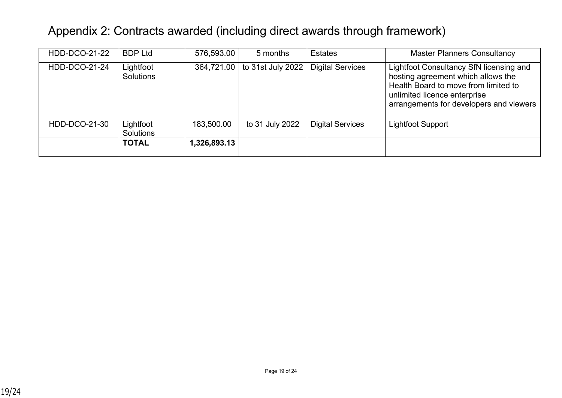| <b>HDD-DCO-21-22</b> | <b>BDP Ltd</b>                | 576,593.00   | 5 months          | <b>Estates</b>          | <b>Master Planners Consultancy</b>                                                                                                                                                               |
|----------------------|-------------------------------|--------------|-------------------|-------------------------|--------------------------------------------------------------------------------------------------------------------------------------------------------------------------------------------------|
| <b>HDD-DCO-21-24</b> | Lightfoot<br>Solutions        | 364,721.00   | to 31st July 2022 | <b>Digital Services</b> | Lightfoot Consultancy SfN licensing and<br>hosting agreement which allows the<br>Health Board to move from limited to<br>unlimited licence enterprise<br>arrangements for developers and viewers |
| HDD-DCO-21-30        | Lightfoot<br><b>Solutions</b> | 183,500.00   | to 31 July 2022   | <b>Digital Services</b> | <b>Lightfoot Support</b>                                                                                                                                                                         |
|                      | <b>TOTAL</b>                  | 1,326,893.13 |                   |                         |                                                                                                                                                                                                  |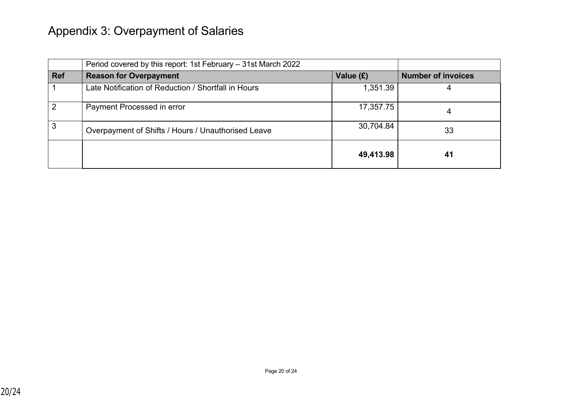# Appendix 3: Overpayment of Salaries

|            | Period covered by this report: 1st February - 31st March 2022 |           |                           |
|------------|---------------------------------------------------------------|-----------|---------------------------|
| <b>Ref</b> | <b>Reason for Overpayment</b>                                 | Value (£) | <b>Number of invoices</b> |
|            | Late Notification of Reduction / Shortfall in Hours           | 1,351.39  | 4                         |
| 2          | Payment Processed in error                                    | 17,357.75 | 4                         |
| 3          | Overpayment of Shifts / Hours / Unauthorised Leave            | 30,704.84 | 33                        |
|            |                                                               | 49,413.98 | 41                        |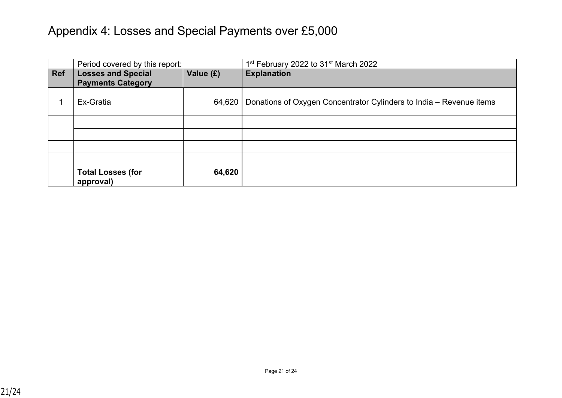# Appendix 4: Losses and Special Payments over £5,000

|            | Period covered by this report:                        |           | 1 <sup>st</sup> February 2022 to 31 <sup>st</sup> March 2022        |
|------------|-------------------------------------------------------|-----------|---------------------------------------------------------------------|
| <b>Ref</b> | <b>Losses and Special</b><br><b>Payments Category</b> | Value (£) | <b>Explanation</b>                                                  |
|            | Ex-Gratia                                             | 64,620    | Donations of Oxygen Concentrator Cylinders to India - Revenue items |
|            |                                                       |           |                                                                     |
|            |                                                       |           |                                                                     |
|            |                                                       |           |                                                                     |
|            |                                                       |           |                                                                     |
|            | <b>Total Losses (for</b><br>approval)                 | 64,620    |                                                                     |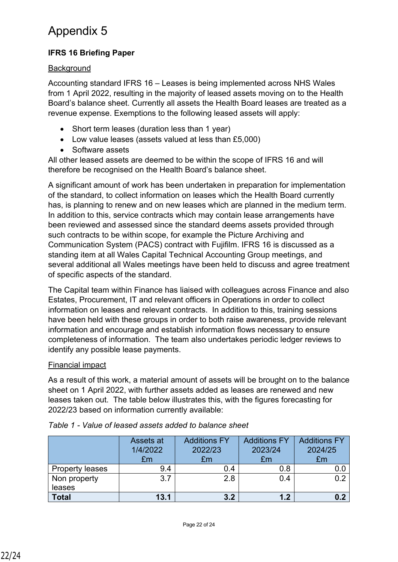# Appendix 5

## **IFRS 16 Briefing Paper**

## **Background**

Accounting standard IFRS 16 – Leases is being implemented across NHS Wales from 1 April 2022, resulting in the majority of leased assets moving on to the Health Board's balance sheet. Currently all assets the Health Board leases are treated as a revenue expense. Exemptions to the following leased assets will apply:

- Short term leases (duration less than 1 year)
- Low value leases (assets valued at less than £5,000)
- Software assets

All other leased assets are deemed to be within the scope of IFRS 16 and will therefore be recognised on the Health Board's balance sheet.

A significant amount of work has been undertaken in preparation for implementation of the standard, to collect information on leases which the Health Board currently has, is planning to renew and on new leases which are planned in the medium term. In addition to this, service contracts which may contain lease arrangements have been reviewed and assessed since the standard deems assets provided through such contracts to be within scope, for example the Picture Archiving and Communication System (PACS) contract with Fujifilm. IFRS 16 is discussed as a standing item at all Wales Capital Technical Accounting Group meetings, and several additional all Wales meetings have been held to discuss and agree treatment of specific aspects of the standard.

The Capital team within Finance has liaised with colleagues across Finance and also Estates, Procurement, IT and relevant officers in Operations in order to collect information on leases and relevant contracts. In addition to this, training sessions have been held with these groups in order to both raise awareness, provide relevant information and encourage and establish information flows necessary to ensure completeness of information. The team also undertakes periodic ledger reviews to identify any possible lease payments.

## Financial impact

As a result of this work, a material amount of assets will be brought on to the balance sheet on 1 April 2022, with further assets added as leases are renewed and new leases taken out. The table below illustrates this, with the figures forecasting for 2022/23 based on information currently available:

|                        | Assets at<br>1/4/2022<br>£m | <b>Additions FY</b><br>2022/23<br>£m | <b>Additions FY</b><br>2023/24<br>£m | <b>Additions FY</b><br>2024/25<br>£m |
|------------------------|-----------------------------|--------------------------------------|--------------------------------------|--------------------------------------|
| <b>Property leases</b> | 9.4                         | 0.4                                  | 0.8                                  |                                      |
| Non property           | 3.7                         | 28                                   | 04                                   |                                      |
| leases                 |                             |                                      |                                      |                                      |
| <b>Total</b>           | 13.1                        | 3.2                                  | 1.2                                  |                                      |

## *Table 1 - Value of leased assets added to balance sheet*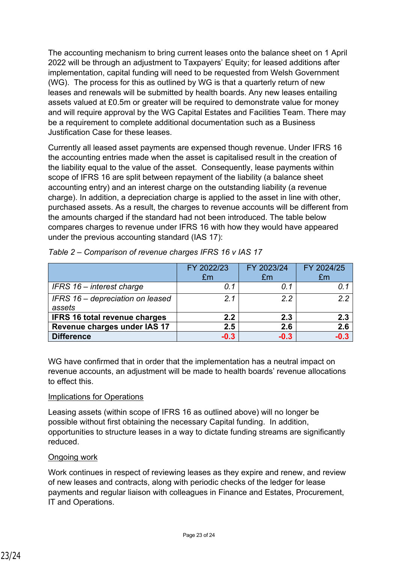The accounting mechanism to bring current leases onto the balance sheet on 1 April 2022 will be through an adjustment to Taxpayers' Equity; for leased additions after implementation, capital funding will need to be requested from Welsh Government (WG). The process for this as outlined by WG is that a quarterly return of new leases and renewals will be submitted by health boards. Any new leases entailing assets valued at £0.5m or greater will be required to demonstrate value for money and will require approval by the WG Capital Estates and Facilities Team. There may be a requirement to complete additional documentation such as a Business Justification Case for these leases.

Currently all leased asset payments are expensed though revenue. Under IFRS 16 the accounting entries made when the asset is capitalised result in the creation of the liability equal to the value of the asset. Consequently, lease payments within scope of IFRS 16 are split between repayment of the liability (a balance sheet accounting entry) and an interest charge on the outstanding liability (a revenue charge). In addition, a depreciation charge is applied to the asset in line with other, purchased assets. As a result, the charges to revenue accounts will be different from the amounts charged if the standard had not been introduced. The table below compares charges to revenue under IFRS 16 with how they would have appeared under the previous accounting standard (IAS 17):

|                                            | FY 2022/23<br>£m | FY 2023/24<br>£m | FY 2024/25<br>£m |
|--------------------------------------------|------------------|------------------|------------------|
| IFRS 16 - interest charge                  | 0.1              | 0.1              |                  |
| IFRS 16 – depreciation on leased<br>assets | 2.1              | 22               | 22               |
| <b>IFRS 16 total revenue charges</b>       | 2.2              | 2.3              | 2.3              |
| Revenue charges under IAS 17               | 2.5              | 2.6              | 2.6              |
| <b>Difference</b>                          | $-0.3$           | $-0.3$           | $-0.3$           |

|  |  |  | Table 2 - Comparison of revenue charges IFRS 16 v IAS 17 |
|--|--|--|----------------------------------------------------------|
|  |  |  |                                                          |

WG have confirmed that in order that the implementation has a neutral impact on revenue accounts, an adjustment will be made to health boards' revenue allocations to effect this.

#### Implications for Operations

Leasing assets (within scope of IFRS 16 as outlined above) will no longer be possible without first obtaining the necessary Capital funding. In addition, opportunities to structure leases in a way to dictate funding streams are significantly reduced.

#### Ongoing work

Work continues in respect of reviewing leases as they expire and renew, and review of new leases and contracts, along with periodic checks of the ledger for lease payments and regular liaison with colleagues in Finance and Estates, Procurement, IT and Operations.